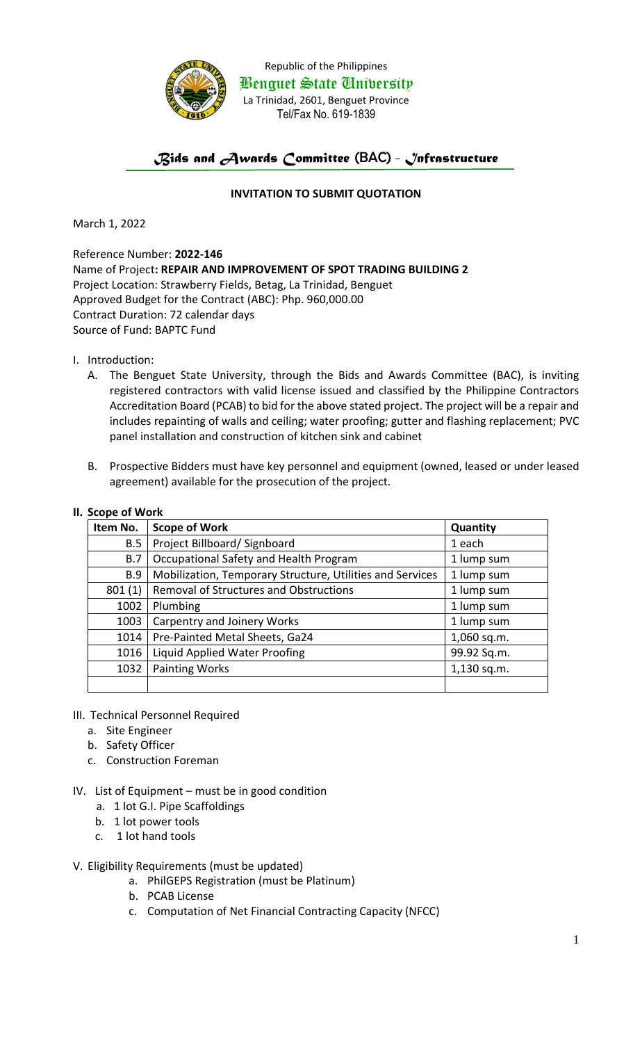

Republic of the Philippines Benguet State University La Trinidad, 2601, Benguet Province Tel/Fax No. 619-1839

# *Bids and Awards Committee* (BAC) *- Infrastructure*

## **INVITATION TO SUBMIT QUOTATION**

March 1, 2022

Reference Number: **2022-146** Name of Project**: REPAIR AND IMPROVEMENT OF SPOT TRADING BUILDING 2** Project Location: Strawberry Fields, Betag, La Trinidad, Benguet Approved Budget for the Contract (ABC): Php. 960,000.00 Contract Duration: 72 calendar days Source of Fund: BAPTC Fund

- I. Introduction:
	- A. The Benguet State University, through the Bids and Awards Committee (BAC), is inviting registered contractors with valid license issued and classified by the Philippine Contractors Accreditation Board (PCAB) to bid for the above stated project. The project will be a repair and includes repainting of walls and ceiling; water proofing; gutter and flashing replacement; PVC panel installation and construction of kitchen sink and cabinet
	- B. Prospective Bidders must have key personnel and equipment (owned, leased or under leased agreement) available for the prosecution of the project.

#### **II. Scope of Work**

| Item No.   | <b>Scope of Work</b>                                      | Quantity    |
|------------|-----------------------------------------------------------|-------------|
| B.5        | Project Billboard/ Signboard                              | 1 each      |
| B.7        | Occupational Safety and Health Program                    | 1 lump sum  |
| <b>B.9</b> | Mobilization, Temporary Structure, Utilities and Services | 1 lump sum  |
| 801(1)     | <b>Removal of Structures and Obstructions</b>             | 1 lump sum  |
| 1002       | Plumbing                                                  | 1 lump sum  |
| 1003       | Carpentry and Joinery Works                               | 1 lump sum  |
| 1014       | Pre-Painted Metal Sheets, Ga24                            | 1,060 sq.m. |
| 1016       | Liquid Applied Water Proofing                             | 99.92 Sq.m. |
| 1032       | <b>Painting Works</b>                                     | 1,130 sq.m. |
|            |                                                           |             |

### III. Technical Personnel Required

- a. Site Engineer
- b. Safety Officer
- c. Construction Foreman
- IV. List of Equipment must be in good condition
	- a. 1 lot G.I. Pipe Scaffoldings
	- b. 1 lot power tools
	- c. 1 lot hand tools
- V. Eligibility Requirements (must be updated)
	- a. PhilGEPS Registration (must be Platinum)
	- b. PCAB License
	- c. Computation of Net Financial Contracting Capacity (NFCC)